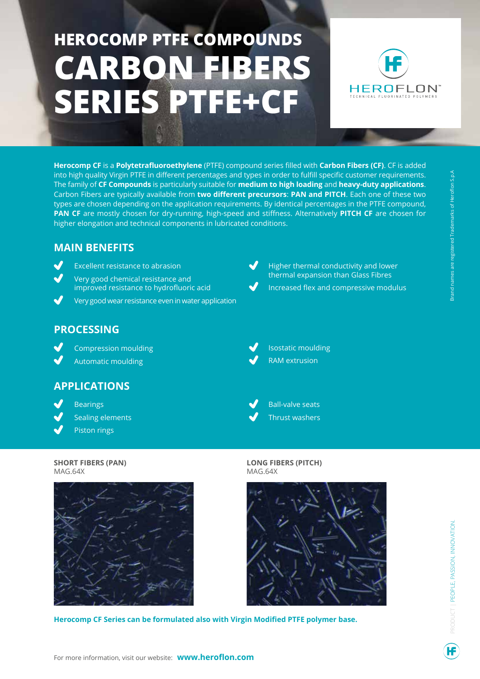# **HEROCOMP PTFE COMPOUNDS CARBON FIBERS SERIES PTFE+CF**



**Herocomp CF** is a **Polytetrafluoroethylene** (PTFE) compound series filled with **Carbon Fibers (CF)**. CF is added into high quality Virgin PTFE in different percentages and types in order to fulfill specific customer requirements. The family of **CF Compounds** is particularly suitable for **medium to high loading** and **heavy-duty applications**. Carbon Fibers are typically available from **two different precursors**: **PAN and PITCH**. Each one of these two types are chosen depending on the application requirements. By identical percentages in the PTFE compound, **PAN CF** are mostly chosen for dry-running, high-speed and stiffness. Alternatively **PITCH CF** are chosen for higher elongation and technical components in lubricated conditions.

### **MAIN BENEFITS**

- Excellent resistance to abrasion Very good chemical resistance and improved resistance to hydrofluoric acid
- Very good wear resistance even in water application

# **PROCESSING**

- Compression moulding
- Automatic moulding

## **APPLICATIONS**

- Bearings
- Sealing elements
- Piston rings

#### **SHORT FIBERS (PAN)**  MAG.64X



**Herocomp CF Series can be formulated also with Virgin Modified PTFE polymer base.**

- Isostatic moulding
	- RAM extrusion

Higher thermal conductivity and lower thermal expansion than Glass Fibres Increased flex and compressive modulus



Ball-valve seats Thrust washers

#### **LONG FIBERS (PITCH)**  MAG.64X



PRODUCT | PEOPLE, PASSION, INNOVATION.PRODUCT | PEOPLE, PASSION, INNOVATION